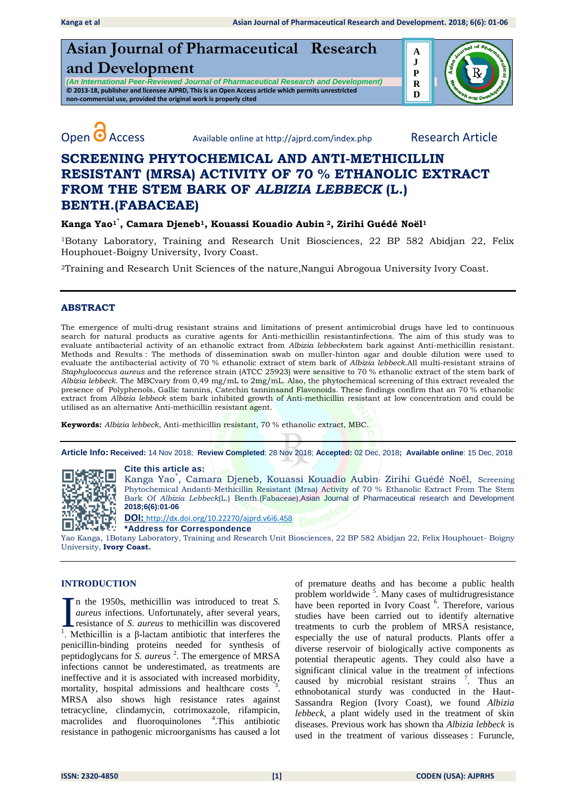# **Asian Journal of Pharmaceutical Research and Development**

*(An International Peer-Reviewed Journal of Pharmaceutical Research and Development)* **© 2013-18, publisher and licensee AJPRD, This is an Open Access article which permits unrestricted non-commercial use, provided the original work is properly cited**





Open **O** Access Available online at http://ajprd.com/index.php Research Article

## **SCREENING PHYTOCHEMICAL AND ANTI-METHICILLIN RESISTANT (MRSA) ACTIVITY OF 70 % ETHANOLIC EXTRACT FROM THE STEM BARK OF** *ALBIZIA LEBBECK* **(L.) BENTH.(FABACEAE)**

#### **Kanga Yao1٭ , Camara Djeneb1, Kouassi Kouadio Aubin <sup>2</sup>, Zirihi Guédé Noël<sup>1</sup>**

<sup>1</sup>Botany Laboratory, Training and Research Unit Biosciences, 22 BP 582 Abidjan 22, Felix Houphouet-Boigny University, Ivory Coast.

<sup>2</sup>Training and Research Unit Sciences of the nature,Nangui Abrogoua University Ivory Coast.

#### **ABSTRACT**

The emergence of multi-drug resistant strains and limitations of present antimicrobial drugs have led to continuous search for natural products as curative agents for Anti-methicillin resistantinfections. The aim of this study was to evaluate antibacterial activity of an ethanolic extract from *Albizia lebbeck*stem bark against Anti-methicillin resistant. Methods and Results : The methods of dissemination swab on muller-hinton agar and double dilution were used to evaluate the antibacterial activity of 70 % ethanolic extract of stem bark of *Albizia lebbeck*.All multi-resistant strains of *Staphylococcus aureus* and the reference strain (ATCC 25923) were sensitive to 70 % ethanolic extract of the stem bark of *Albizia lebbeck*. The MBCvary from 0,49 mg/mL to 2mg/mL. Also, the phytochemical screening of this extract revealed the presence of Polyphenols, Gallic tannins, Catechin tanninsand Flavonoids. These findings confirm that an 70 % ethanolic extract from *Albizia lebbeck* stem bark inhibited growth of Anti-methicillin resistant at low concentration and could be utilised as an alternative Anti-methicillin resistant agent.

**Keywords:** *Albizia lebbeck*, Anti-methicillin resistant, 70 % ethanolic extract, MBC.

**Article Info: Received:** 14 Nov 2018; **Review Completed**: 28 Nov 2018; **Accepted:** 02 Dec, 2018**; Available online**: 15 Dec, 2018



**Cite this article as:**

Kanga Yao<sup>\*</sup>, Camara Djeneb, Kouassi Kouadio Aubin<sup>,</sup> Zirihi Guédé Noël, Screening Phytochemical Andanti-Methicillin Resistant (Mrsa) Activity of 70 % Ethanolic Extract From The Stem Bark Of *Albizia Lebbeck*(L.) Benth.(Fabaceae),Asian Journal of Pharmaceutical research and Development **2018;6(6):01-06** 

**DOI:** [http://dx.doi.org/10.22270/ajprd.v6i6.](http://dx.doi.org/10.22270/ajprd.v6i6.458)458

**\*Address for Correspondence** 

Yao Kanga, 1Botany Laboratory, Training and Research Unit Biosciences, 22 BP 582 Abidjan 22, Felix Houphouet- Boigny University, **Ivory Coast.**

#### **INTRODUCTION**

n the 1950s, methicillin was introduced to treat *S. aureus* infections. Unfortunately, after several years, resistance of *S. aureus* to methicillin was discovered I at the 1950s, methicillin was introduced to treat *S*.<br> *aureus* infections. Unfortunately, after several years,<br>
resistance of *S*. *aureus* to methicillin was discovered<br>
<sup>1</sup>. Methicillin is a β-lactam antibiotic tha penicillin-binding proteins needed for synthesis of peptidoglycans for *S. aureus* <sup>2</sup> . The emergence of MRSA infections cannot be underestimated, as treatments are ineffective and it is associated with increased morbidity, mortality, hospital admissions and healthcare costs <sup>3</sup> . MRSA also shows high resistance rates against tetracycline, clindamycin, cotrimoxazole, rifampicin, macrolides and fluoroquinolones <sup>4</sup>. This antibiotic resistance in pathogenic microorganisms has caused a lot

of premature deaths and has become a public health problem worldwide<sup>5</sup>. Many cases of multidrugresistance have been reported in Ivory Coast<sup>6</sup>. Therefore, various studies have been carried out to identify alternative treatments to curb the problem of MRSA resistance, especially the use of natural products. Plants offer a diverse reservoir of biologically active components as potential therapeutic agents. They could also have a significant clinical value in the treatment of infections caused by microbial resistant strains <sup>7</sup>. Thus an ethnobotanical sturdy was conducted in the Haut-Sassandra Region (Ivory Coast), we found *Albizia lebbeck*, a plant widely used in the treatment of skin diseases. Previous work has shown tha *Albizia lebbeck* is used in the treatment of various disseases : Furuncle,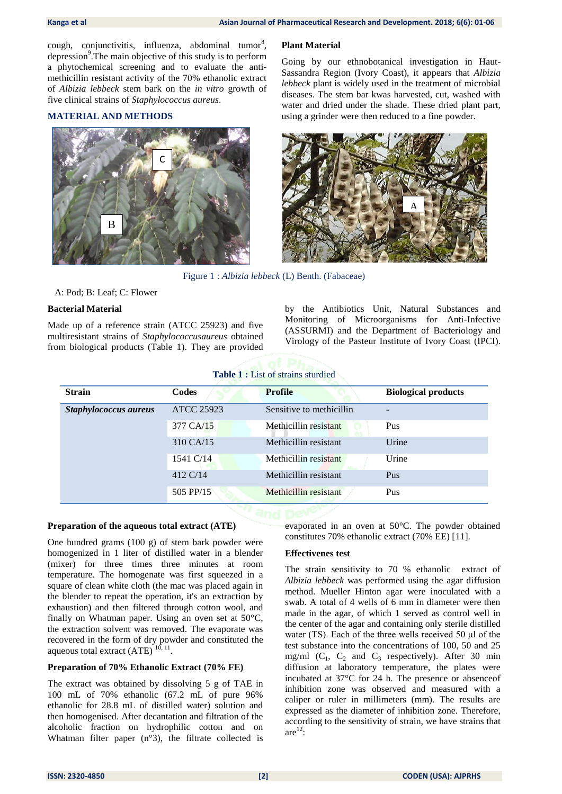cough, conjunctivitis, influenza, abdominal tumor<sup>8</sup>, depression<sup>9</sup>. The main objective of this study is to perform a phytochemical screening and to evaluate the antimethicillin resistant activity of the 70% ethanolic extract of *Albizia lebbeck* stem bark on the *in vitro* growth of five clinical strains of *Staphylococcus aureus*.

#### **MATERIAL AND METHODS**



#### **Plant Material**

Going by our ethnobotanical investigation in Haut-Sassandra Region (Ivory Coast), it appears that *Albizia lebbeck* plant is widely used in the treatment of microbial diseases. The stem bar kwas harvested, cut, washed with water and dried under the shade. These dried plant part, using a grinder were then reduced to a fine powder.



Figure 1 : *Albizia lebbeck* (L) Benth. (Fabaceae)

#### A: Pod; B: Leaf; C: Flower

#### **Bacterial Material**

Made up of a reference strain (ATCC 25923) and five multiresistant strains of *Staphylococcusaureus* obtained from biological products (Table 1). They are provided by the Antibiotics Unit, Natural Substances and Monitoring of Microorganisms for Anti-Infective (ASSURMI) and the Department of Bacteriology and Virology of the Pasteur Institute of Ivory Coast (IPCI).

### **Table 1 :** List of strains sturdied

| <b>Strain</b>         | Codes             | <b>Profile</b>           | <b>Biological products</b> |  |
|-----------------------|-------------------|--------------------------|----------------------------|--|
| Staphylococcus aureus | <b>ATCC 25923</b> | Sensitive to methicillin |                            |  |
|                       | 377 CA/15         | Methicillin resistant    | Pus                        |  |
|                       | 310 CA/15         | Methicillin resistant    | Urine                      |  |
|                       | 1541 C/14         | Methicillin resistant    | Urine                      |  |
|                       | 412 C/14          | Methicillin resistant    | Pus                        |  |
|                       | 505 PP/15         | Methicillin resistant    | Pus                        |  |

#### **Preparation of the aqueous total extract (ATE)**

One hundred grams (100 g) of stem bark powder were homogenized in 1 liter of distilled water in a blender (mixer) for three times three minutes at room temperature. The homogenate was first squeezed in a square of clean white cloth (the mac was placed again in the blender to repeat the operation, it's an extraction by exhaustion) and then filtered through cotton wool, and finally on Whatman paper. Using an oven set at 50°C, the extraction solvent was removed. The evaporate was recovered in the form of dry powder and constituted the aqueous total extract  $(ATE)^{10, 11}$ .

#### **Preparation of 70% Ethanolic Extract (70% FE)**

The extract was obtained by dissolving 5 g of TAE in 100 mL of 70% ethanolic (67.2 mL of pure 96% ethanolic for 28.8 mL of distilled water) solution and then homogenised. After decantation and filtration of the alcoholic fraction on hydrophilic cotton and on Whatman filter paper (n°3), the filtrate collected is

evaporated in an oven at 50°C. The powder obtained constitutes 70% ethanolic extract (70% EE) [11].

#### **Effectivenes test**

The strain sensitivity to 70 % ethanolic extract of *Albizia lebbeck* was performed using the agar diffusion method. Mueller Hinton agar were inoculated with a swab. A total of 4 wells of 6 mm in diameter were then made in the agar, of which 1 served as control well in the center of the agar and containing only sterile distilled water (TS). Each of the three wells received 50 μl of the test substance into the concentrations of 100, 50 and 25 mg/ml  $(C_1, C_2$  and  $C_3$  respectively). After 30 min diffusion at laboratory temperature, the plates were incubated at 37°C for 24 h. The presence or absenceof inhibition zone was observed and measured with a caliper or ruler in millimeters (mm). The results are expressed as the diameter of inhibition zone. Therefore, according to the sensitivity of strain, we have strains that are $^{12}$ :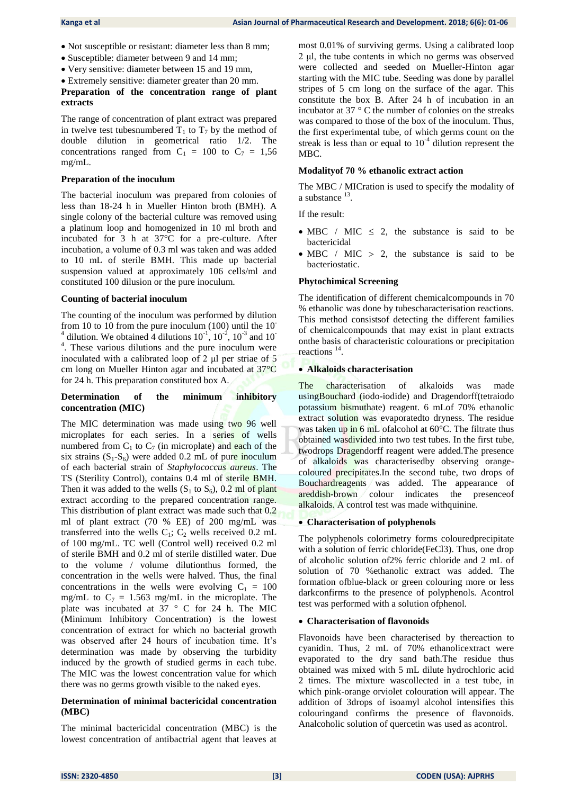- Not susceptible or resistant: diameter less than 8 mm;
- Susceptible: diameter between 9 and 14 mm;
- Very sensitive: diameter between 15 and 19 mm,
- Extremely sensitive: diameter greater than 20 mm.

#### **Preparation of the concentration range of plant extracts**

The range of concentration of plant extract was prepared in twelve test tubesnumbered  $T_1$  to  $T_7$  by the method of double dilution in geometrical ratio 1/2. The concentrations ranged from  $C_1 = 100$  to  $C_7 = 1,56$ mg/mL.

#### **Preparation of the inoculum**

The bacterial inoculum was prepared from colonies of less than 18-24 h in Mueller Hinton broth (BMH). A single colony of the bacterial culture was removed using a platinum loop and homogenized in 10 ml broth and incubated for 3 h at 37°C for a pre-culture. After incubation, a volume of 0.3 ml was taken and was added to 10 mL of sterile BMH. This made up bacterial suspension valued at approximately 106 cells/ml and constituted 100 dilusion or the pure inoculum.

#### **Counting of bacterial inoculum**

The counting of the inoculum was performed by dilution from 10 to 10 from the pure inoculum  $(100)$  until the 10<sup>-</sup> <sup>4</sup> dilution. We obtained 4 dilutions  $10^{-1}$ ,  $10^{-2}$ ,  $10^{-3}$  and  $10^{-7}$ <sup>4</sup>. These various dilutions and the pure inoculum were inoculated with a calibrated loop of 2 μl per striae of 5 cm long on Mueller Hinton agar and incubated at 37°C for 24 h. This preparation constituted box A.

#### **Determination of the minimum inhibitory concentration (MIC)**

The MIC determination was made using two 96 well microplates for each series. In a series of wells numbered from  $C_1$  to  $C_7$  (in microplate) and each of the six strains  $(S_1-S_6)$  were added 0.2 mL of pure inoculum of each bacterial strain of *Staphylococcus aureus*. The TS (Sterility Control), contains 0.4 ml of sterile BMH. Then it was added to the wells  $(S_1 \text{ to } S_6)$ , 0.2 ml of plant extract according to the prepared concentration range. This distribution of plant extract was made such that 0.2 ml of plant extract (70 % EE) of 200 mg/mL was transferred into the wells  $C_1$ ;  $C_2$  wells received 0.2 mL of 100 mg/mL. TC well (Control well) received 0.2 ml of sterile BMH and 0.2 ml of sterile distilled water. Due to the volume / volume dilutionthus formed, the concentration in the wells were halved. Thus, the final concentrations in the wells were evolving  $C_1 = 100$ mg/mL to  $C_7 = 1.563$  mg/mL in the microplate. The plate was incubated at 37 ° C for 24 h. The MIC (Minimum Inhibitory Concentration) is the lowest concentration of extract for which no bacterial growth was observed after 24 hours of incubation time. It's determination was made by observing the turbidity induced by the growth of studied germs in each tube. The MIC was the lowest concentration value for which there was no germs growth visible to the naked eyes.

#### **Determination of minimal bactericidal concentration (MBC)**

The minimal bactericidal concentration (MBC) is the lowest concentration of antibactrial agent that leaves at most 0.01% of surviving germs. Using a calibrated loop 2 μl, the tube contents in which no germs was observed were collected and seeded on Mueller-Hinton agar starting with the MIC tube. Seeding was done by parallel stripes of 5 cm long on the surface of the agar. This constitute the box B. After 24 h of incubation in an incubator at 37 ° C the number of colonies on the streaks was compared to those of the box of the inoculum. Thus, the first experimental tube, of which germs count on the streak is less than or equal to  $10^{-4}$  dilution represent the MBC.

#### **Modalityof 70 % ethanolic extract action**

The MBC / MICration is used to specify the modality of a substance  $^{13}$ .

If the result:

- $\bullet$  MBC / MIC  $\leq$  2, the substance is said to be bactericidal
- $\bullet$  MBC / MIC > 2, the substance is said to be bacteriostatic.

#### **Phytochimical Screening**

The identification of different chemicalcompounds in 70 % ethanolic was done by tubescharacterisation reactions. This method consistsof detecting the different families of chemicalcompounds that may exist in plant extracts onthe basis of characteristic colourations or precipitation reactions<sup>14</sup>.

#### **Alkaloids characterisation**

The characterisation of alkaloids was made usingBouchard (iodo-iodide) and Dragendorff(tetraiodo potassium bismuthate) reagent. 6 mLof 70% ethanolic extract solution was evaporatedto dryness. The residue was taken up in 6 mL of alcohol at 60°C. The filtrate thus obtained wasdivided into two test tubes. In the first tube, twodrops Dragendorff reagent were added.The presence of alkaloids was characterisedby observing orangecoloured precipitates.In the second tube, two drops of Bouchardreagents was added. The appearance of areddish-brown colour indicates the presenceof alkaloids. A control test was made withquinine.

#### **Characterisation of polyphenols**

The polyphenols colorimetry forms colouredprecipitate with a solution of ferric chloride(FeCl3). Thus, one drop of alcoholic solution of2% ferric chloride and 2 mL of solution of 70 %ethanolic extract was added. The formation ofblue-black or green colouring more or less darkconfirms to the presence of polyphenols. Acontrol test was performed with a solution ofphenol.

#### **Characterisation of flavonoids**

Flavonoids have been characterised by thereaction to cyanidin. Thus, 2 mL of 70% ethanolicextract were evaporated to the dry sand bath.The residue thus obtained was mixed with 5 mL dilute hydrochloric acid 2 times. The mixture wascollected in a test tube, in which pink-orange orviolet colouration will appear. The addition of 3drops of isoamyl alcohol intensifies this colouringand confirms the presence of flavonoids. Analcoholic solution of quercetin was used as acontrol.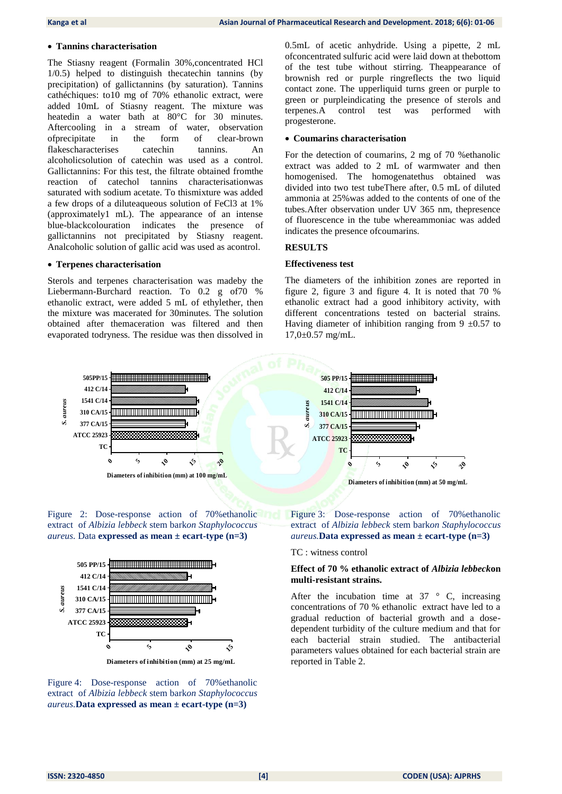#### **Tannins characterisation**

The Stiasny reagent (Formalin 30%,concentrated HCl 1/0.5) helped to distinguish thecatechin tannins (by precipitation) of gallictannins (by saturation). Tannins cathéchiques: to10 mg of 70% ethanolic extract, were added 10mL of Stiasny reagent. The mixture was heatedin a water bath at 80°C for 30 minutes. Aftercooling in a stream of water, observation ofprecipitate in the form of clear-brown flakescharacterises catechin tannins. An alcoholicsolution of catechin was used as a control. Gallictannins: For this test, the filtrate obtained fromthe reaction of catechol tannins characterisationwas saturated with sodium acetate. To thismixture was added a few drops of a diluteaqueous solution of FeCl3 at 1% (approximately1 mL). The appearance of an intense blue-blackcolouration indicates the presence of gallictannins not precipitated by Stiasny reagent. Analcoholic solution of gallic acid was used as acontrol.

#### **Terpenes characterisation**

Sterols and terpenes characterisation was madeby the Liebermann-Burchard reaction. To 0.2 g of70 % ethanolic extract, were added 5 mL of ethylether, then the mixture was macerated for 30minutes. The solution obtained after themaceration was filtered and then evaporated todryness. The residue was then dissolved in 0.5mL of acetic anhydride. Using a pipette, 2 mL ofconcentrated sulfuric acid were laid down at thebottom of the test tube without stirring. Theappearance of brownish red or purple ringreflects the two liquid contact zone. The upperliquid turns green or purple to green or purpleindicating the presence of sterols and terpenes.A control test was performed with progesterone.

#### **Coumarins characterisation**

For the detection of coumarins, 2 mg of 70 %ethanolic extract was added to 2 mL of warmwater and then homogenised. The homogenatethus obtained was divided into two test tubeThere after, 0.5 mL of diluted ammonia at 25%was added to the contents of one of the tubes.After observation under UV 365 nm, thepresence of fluorescence in the tube whereammoniac was added indicates the presence ofcoumarins.

#### **RESULTS**

#### **Effectiveness test**

The diameters of the inhibition zones are reported in figure 2, figure 3 and figure 4. It is noted that 70 % ethanolic extract had a good inhibitory activity, with different concentrations tested on bacterial strains. Having diameter of inhibition ranging from 9  $\pm$ 0.57 to 17,0±0.57 mg/mL.



Figure 2: Dose-response action of 70%ethanolic extract of *Albizia lebbeck* stem bark*on Staphylococcus aureus.* Data **expressed as mean ± ecart-type (n=3)**



Figure 4: Dose-response action of 70%ethanolic extract of *Albizia lebbeck* stem bark*on Staphylococcus aureus.***Data expressed as mean ± ecart-type (n=3)**

Figure 3: Dose-response action of 70%ethanolic extract of *Albizia lebbeck* stem bark*on Staphylococcus aureus.***Data expressed as mean ± ecart-type (n=3)**

TC : witness control

#### **Effect of 70 % ethanolic extract of** *Albizia lebbeck***on multi-resistant strains.**

After the incubation time at  $37 \degree$  C, increasing concentrations of 70 % ethanolic extract have led to a gradual reduction of bacterial growth and a dosedependent turbidity of the culture medium and that for each bacterial strain studied. The antibacterial parameters values obtained for each bacterial strain are reported in Table 2.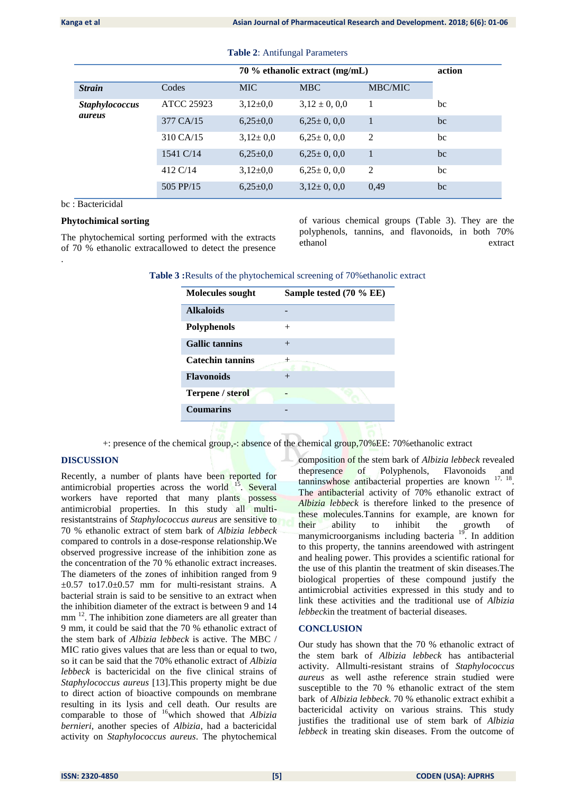|                                 |                   | 70 % ethanolic extract (mg/mL) |                   |                | action |
|---------------------------------|-------------------|--------------------------------|-------------------|----------------|--------|
| <b>Strain</b>                   | Codes             | <b>MIC</b>                     | <b>MBC</b>        | <b>MBC/MIC</b> |        |
| <b>Staphylococcus</b><br>aureus | <b>ATCC 25923</b> | $3,12\pm0,0$                   | $3,12 \pm 0, 0,0$ |                | bc     |
|                                 | 377 CA/15         | $6,25\pm0.0$                   | $6.25 \pm 0.00$   | 1              | bc     |
|                                 | 310 CA/15         | $3,12 \pm 0,0$                 | $6,25 \pm 0,0,0$  | $\overline{2}$ | bc     |
|                                 | 1541 C/14         | $6,25\pm0,0$                   | $6.25 \pm 0.00$   | 1              | bc     |
|                                 | 412 C/14          | $3.12 \pm 0.0$                 | $6.25 \pm 0.00$   | 2              | bc     |
|                                 | 505 PP/15         | $6,25\pm0.0$                   | $3.12 \pm 0.00$   | 0,49           | bc     |

**Table 2**: Antifungal Parameters

bc : Bactericidal

.

#### **Phytochimical sorting**

The phytochemical sorting performed with the extracts of 70 % ethanolic extracallowed to detect the presence of various chemical groups (Table 3). They are the polyphenols, tannins, and flavonoids, in both 70% ethanol extract

| Table 3: Results of the phytochemical screening of 70% ethanolic extract |  |
|--------------------------------------------------------------------------|--|
|--------------------------------------------------------------------------|--|

| <b>Molecules sought</b> | Sample tested (70 % EE) |
|-------------------------|-------------------------|
| <b>Alkaloids</b>        |                         |
| Polyphenols             | $^{+}$                  |
| <b>Gallic tannins</b>   | $^{+}$                  |
| <b>Catechin tannins</b> |                         |
| <b>Flavonoids</b>       |                         |
| <b>Terpene / sterol</b> |                         |
| <b>Coumarins</b>        |                         |
|                         |                         |

+: presence of the chemical group, -: absence of the chemical group, 70%EE: 70% ethanolic extract

#### **DISCUSSION**

Recently, a number of plants have been reported for antimicrobial properties across the world  $15$ . Several workers have reported that many plants possess antimicrobial properties. In this study all multiresistantstrains of *Staphylococcus aureus* are sensitive to 70 % ethanolic extract of stem bark of *Albizia lebbeck* compared to controls in a dose-response relationship.We observed progressive increase of the inhibition zone as the concentration of the 70 % ethanolic extract increases. The diameters of the zones of inhibition ranged from 9  $\pm 0.57$  to 17.0 $\pm 0.57$  mm for multi-resistant strains. A bacterial strain is said to be sensitive to an extract when the inhibition diameter of the extract is between 9 and 14 mm<sup>12</sup>. The inhibition zone diameters are all greater than 9 mm, it could be said that the 70 % ethanolic extract of the stem bark of *Albizia lebbeck* is active. The MBC / MIC ratio gives values that are less than or equal to two, so it can be said that the 70% ethanolic extract of *Albizia lebbeck* is bactericidal on the five clinical strains of *Staphylococcus aureus* [13].This property might be due to direct action of bioactive compounds on membrane resulting in its lysis and cell death. Our results are comparable to those of <sup>16</sup>which showed that *Albizia bernieri*, another species of *Albizia*, had a bactericidal activity on *Staphylococcus aureus*. The phytochemical composition of the stem bark of *Albizia lebbeck* revealed thepresence of Polyphenols, Flavonoids and tanninswhose antibacterial properties are known <sup>17, 18</sup>. The antibacterial activity of 70% ethanolic extract of *Albizia lebbeck* is therefore linked to the presence of these molecules.Tannins for example, are known for their ability to inhibit the growth of manymicroorganisms including bacteria <sup>19</sup>. In addition to this property, the tannins areendowed with astringent and healing power. This provides a scientific rational for the use of this plantin the treatment of skin diseases.The biological properties of these compound justify the antimicrobial activities expressed in this study and to link these activities and the traditional use of *Albizia lebbeck*in the treatment of bacterial diseases.

#### **CONCLUSION**

Our study has shown that the 70 % ethanolic extract of the stem bark of *Albizia lebbeck* has antibacterial activity. Allmulti-resistant strains of *Staphylococcus aureus* as well asthe reference strain studied were susceptible to the 70 % ethanolic extract of the stem bark of *Albizia lebbeck*. 70 % ethanolic extract exhibit a bactericidal activity on various strains. This study justifies the traditional use of stem bark of *Albizia lebbeck* in treating skin diseases. From the outcome of